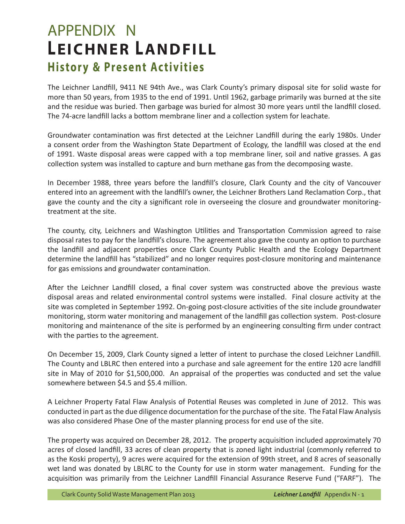## APPENDIX N **LEICHNER LANDFILL History & Present Activities**

The Leichner Landfill, 9411 NE 94th Ave., was Clark County's primary disposal site for solid waste for more than 50 years, from 1935 to the end of 1991. Until 1962, garbage primarily was burned at the site and the residue was buried. Then garbage was buried for almost 30 more years until the landfill closed. The 74-acre landfill lacks a bottom membrane liner and a collection system for leachate.

Groundwater contamination was first detected at the Leichner Landfill during the early 1980s. Under a consent order from the Washington State Department of Ecology, the landfill was closed at the end of 1991. Waste disposal areas were capped with a top membrane liner, soil and native grasses. A gas collection system was installed to capture and burn methane gas from the decomposing waste.

In December 1988, three years before the landfill's closure, Clark County and the city of Vancouver entered into an agreement with the landfill's owner, the Leichner Brothers Land Reclamation Corp., that gave the county and the city a significant role in overseeing the closure and groundwater monitoringtreatment at the site.

The county, city, Leichners and Washington Utilities and Transportation Commission agreed to raise disposal rates to pay for the landfill's closure. The agreement also gave the county an option to purchase the landfill and adjacent properties once Clark County Public Health and the Ecology Department determine the landfill has "stabilized" and no longer requires post-closure monitoring and maintenance for gas emissions and groundwater contamination.

After the Leichner Landfill closed, a final cover system was constructed above the previous waste disposal areas and related environmental control systems were installed. Final closure activity at the site was completed in September 1992. On-going post-closure activities of the site include groundwater monitoring, storm water monitoring and management of the landfill gas collection system. Post-closure monitoring and maintenance of the site is performed by an engineering consulting firm under contract with the parties to the agreement.

On December 15, 2009, Clark County signed a letter of intent to purchase the closed Leichner Landfill. The County and LBLRC then entered into a purchase and sale agreement for the entire 120 acre landfill site in May of 2010 for \$1,500,000. An appraisal of the properties was conducted and set the value somewhere between \$4.5 and \$5.4 million.

A Leichner Property Fatal Flaw Analysis of Potential Reuses was completed in June of 2012. This was conducted in part as the due diligence documentation for the purchase of the site. The Fatal Flaw Analysis was also considered Phase One of the master planning process for end use of the site.

The property was acquired on December 28, 2012. The property acquisition included approximately 70 acres of closed landfill, 33 acres of clean property that is zoned light industrial (commonly referred to as the Koski property), 9 acres were acquired for the extension of 99th street, and 8 acres of seasonally wet land was donated by LBLRC to the County for use in storm water management. Funding for the acquisition was primarily from the Leichner Landfill Financial Assurance Reserve Fund ("FARF"). The